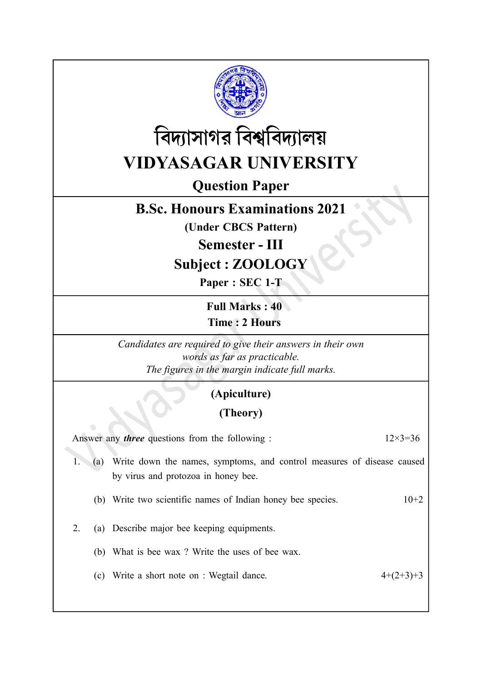



# VIDYASAGAR UNIVERSITY

Question Paper

## B.Sc. Honours Examinations 2021

(Under CBCS Pattern)

Semester - III

Subject : ZOOLOGY

Paper : SEC 1-T

Full Marks : 40 Time : 2 Hours

Candidates are required to give their answers in their own words as far as practicable. The figures in the margin indicate full marks.

#### (Apiculture)

#### (Theory)

| Answer any <i>three</i> questions from the following : | $12\times3=36$ |                                                                                                               |             |
|--------------------------------------------------------|----------------|---------------------------------------------------------------------------------------------------------------|-------------|
|                                                        | (a)            | Write down the names, symptoms, and control measures of disease caused<br>by virus and protozoa in honey bee. |             |
|                                                        |                | (b) Write two scientific names of Indian honey bee species.                                                   | $10+2$      |
|                                                        |                | (a) Describe major bee keeping equipments.                                                                    |             |
|                                                        |                | (b) What is bee wax? Write the uses of bee wax.                                                               |             |
|                                                        |                | (c) Write a short note on : Wegtail dance.                                                                    | $4+(2+3)+3$ |
|                                                        |                |                                                                                                               |             |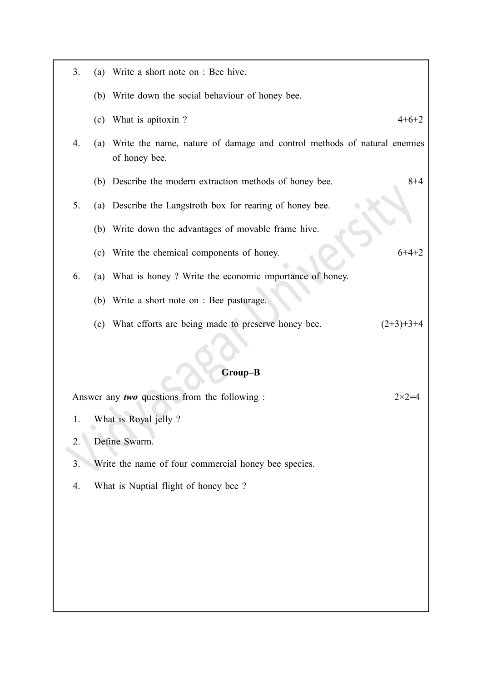| 3.                                                                |     | (a) Write a short note on : Bee hive.                                                    |             |  |  |  |
|-------------------------------------------------------------------|-----|------------------------------------------------------------------------------------------|-------------|--|--|--|
|                                                                   |     | (b) Write down the social behaviour of honey bee.                                        |             |  |  |  |
|                                                                   |     | (c) What is apitoxin?                                                                    | $4+6+2$     |  |  |  |
| 4.                                                                | (a) | Write the name, nature of damage and control methods of natural enemies<br>of honey bee. |             |  |  |  |
|                                                                   | (b) | Describe the modern extraction methods of honey bee.                                     | $8 + 4$     |  |  |  |
| 5.                                                                |     | (a) Describe the Langstroth box for rearing of honey bee.                                |             |  |  |  |
|                                                                   |     | (b) Write down the advantages of movable frame hive.                                     |             |  |  |  |
|                                                                   | (c) | Write the chemical components of honey.                                                  | $6+4+2$     |  |  |  |
| 6.                                                                |     | (a) What is honey? Write the economic importance of honey.                               |             |  |  |  |
|                                                                   |     | (b) Write a short note on : Bee pasturage.                                               |             |  |  |  |
|                                                                   |     | (c) What efforts are being made to preserve honey bee.                                   | $(2+3)+3+4$ |  |  |  |
|                                                                   |     |                                                                                          |             |  |  |  |
| Group-B                                                           |     |                                                                                          |             |  |  |  |
| Answer any two questions from the following :<br>$2 \times 2 = 4$ |     |                                                                                          |             |  |  |  |

1. What is Royal jelly ?

2. Define Swarm.

3. Write the name of four commercial honey bee species.

4. What is Nuptial flight of honey bee ?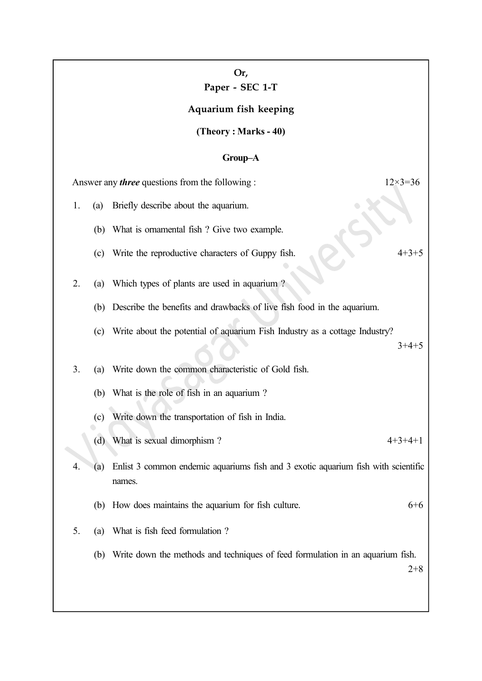Paper - SEC 1-T

Aquarium fish keeping

(Theory : Marks - 40)

### Group–A

| Answer any <i>three</i> questions from the following : |     |                                                                                             | $12\times3=36$ |
|--------------------------------------------------------|-----|---------------------------------------------------------------------------------------------|----------------|
| 1.                                                     | (a) | Briefly describe about the aquarium.                                                        |                |
|                                                        |     | (b) What is ornamental fish ? Give two example.                                             |                |
|                                                        | (c) | Write the reproductive characters of Guppy fish.                                            | $4 + 3 + 5$    |
| 2.                                                     | (a) | Which types of plants are used in aquarium?                                                 |                |
|                                                        | (b) | Describe the benefits and drawbacks of live fish food in the aquarium.                      |                |
|                                                        | (c) | Write about the potential of aquarium Fish Industry as a cottage Industry?                  | $3+4+5$        |
| 3.                                                     | (a) | Write down the common characteristic of Gold fish.                                          |                |
|                                                        |     | (b) What is the role of fish in an aquarium?                                                |                |
|                                                        | (c) | Write down the transportation of fish in India.                                             |                |
|                                                        | (d) | What is sexual dimorphism?                                                                  | $4+3+4+1$      |
| 4.                                                     | (a) | Enlist 3 common endemic aquariums fish and 3 exotic aquarium fish with scientific<br>names. |                |
|                                                        | (b) | How does maintains the aquarium for fish culture.                                           | $6 + 6$        |
| 5.                                                     | (a) | What is fish feed formulation?                                                              |                |
|                                                        | (b) | Write down the methods and techniques of feed formulation in an aquarium fish.              | $2 + 8$        |